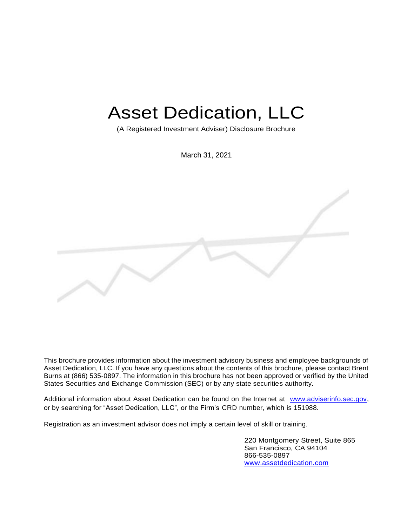# Asset Dedication, LLC

(A Registered Investment Adviser) Disclosure Brochure

March 31, 2021

This brochure provides information about the investment advisory business and employee backgrounds of Asset Dedication, LLC. If you have any questions about the contents of this brochure, please contact Brent Burns at (866) 535-0897. The information in this brochure has not been approved or verified by the United States Securities and Exchange Commission (SEC) or by any state securities authority.

Additional information about Asset Dedication can be found on the Internet at [www.adviserinfo.sec.gov,](about:blank)  or by searching for "Asset Dedication, LLC", or the Firm's CRD number, which is 151988.

Registration as an investment advisor does not imply a certain level of skill or training.

220 Montgomery Street, Suite 865 San Francisco, CA 94104 866-535-0897 [www.assetdedication.com](about:blank)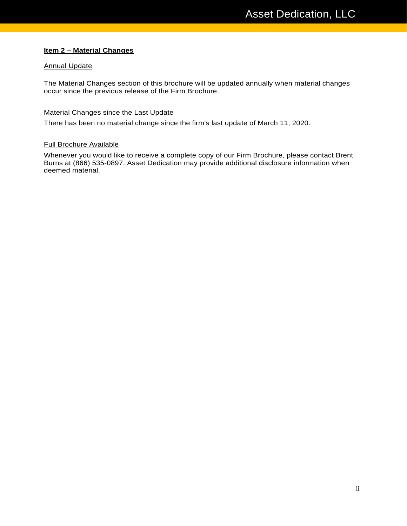### **Item 2 – Material Changes**

#### Annual Update

The Material Changes section of this brochure will be updated annually when material changes occur since the previous release of the Firm Brochure.

#### Material Changes since the Last Update

There has been no material change since the firm's last update of March 11, 2020.

#### Full Brochure Available

Whenever you would like to receive a complete copy of our Firm Brochure, please contact Brent Burns at (866) 535-0897. Asset Dedication may provide additional disclosure information when deemed material.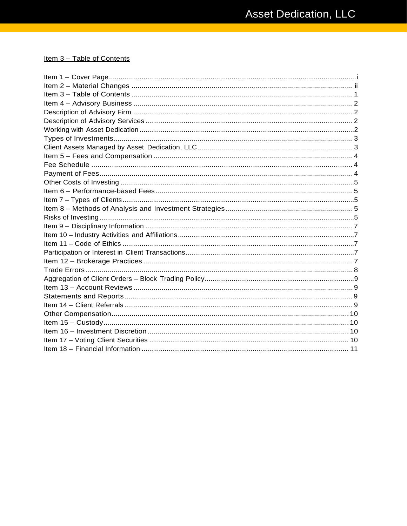# Item 3 - Table of Contents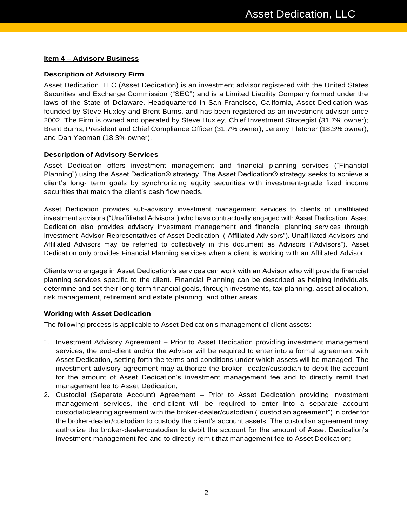### **Item 4 – Advisory Business**

## **Description of Advisory Firm**

Asset Dedication, LLC (Asset Dedication) is an investment advisor registered with the United States Securities and Exchange Commission ("SEC") and is a Limited Liability Company formed under the laws of the State of Delaware. Headquartered in San Francisco, California, Asset Dedication was founded by Steve Huxley and Brent Burns, and has been registered as an investment advisor since 2002. The Firm is owned and operated by Steve Huxley, Chief Investment Strategist (31.7% owner); Brent Burns, President and Chief Compliance Officer (31.7% owner); Jeremy Fletcher (18.3% owner); and Dan Yeoman (18.3% owner).

#### **Description of Advisory Services**

Asset Dedication offers investment management and financial planning services ("Financial Planning") using the Asset Dedication® strategy. The Asset Dedication® strategy seeks to achieve a client's long- term goals by synchronizing equity securities with investment-grade fixed income securities that match the client's cash flow needs.

Asset Dedication provides sub-advisory investment management services to clients of unaffiliated investment advisors ("Unaffiliated Advisors") who have contractually engaged with Asset Dedication. Asset Dedication also provides advisory investment management and financial planning services through Investment Advisor Representatives of Asset Dedication, ("Affiliated Advisors"). Unaffiliated Advisors and Affiliated Advisors may be referred to collectively in this document as Advisors ("Advisors"). Asset Dedication only provides Financial Planning services when a client is working with an Affiliated Advisor.

Clients who engage in Asset Dedication's services can work with an Advisor who will provide financial planning services specific to the client. Financial Planning can be described as helping individuals determine and set their long-term financial goals, through investments, tax planning, asset allocation, risk management, retirement and estate planning, and other areas.

#### **Working with Asset Dedication**

The following process is applicable to Asset Dedication's management of client assets:

- 1. Investment Advisory Agreement Prior to Asset Dedication providing investment management services, the end-client and/or the Advisor will be required to enter into a formal agreement with Asset Dedication, setting forth the terms and conditions under which assets will be managed. The investment advisory agreement may authorize the broker- dealer/custodian to debit the account for the amount of Asset Dedication's investment management fee and to directly remit that management fee to Asset Dedication;
- 2. Custodial (Separate Account) Agreement Prior to Asset Dedication providing investment management services, the end-client will be required to enter into a separate account custodial/clearing agreement with the broker-dealer/custodian ("custodian agreement") in order for the broker-dealer/custodian to custody the client's account assets. The custodian agreement may authorize the broker-dealer/custodian to debit the account for the amount of Asset Dedication's investment management fee and to directly remit that management fee to Asset Dedication;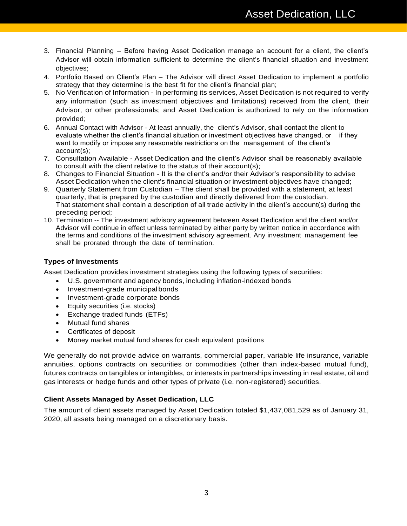- 3. Financial Planning Before having Asset Dedication manage an account for a client, the client's Advisor will obtain information sufficient to determine the client's financial situation and investment objectives;
- 4. Portfolio Based on Client's Plan The Advisor will direct Asset Dedication to implement a portfolio strategy that they determine is the best fit for the client's financial plan;
- 5. No Verification of Information In performing its services, Asset Dedication is not required to verify any information (such as investment objectives and limitations) received from the client, their Advisor, or other professionals; and Asset Dedication is authorized to rely on the information provided;
- 6. Annual Contact with Advisor At least annually, the client's Advisor, shall contact the client to evaluate whether the client's financial situation or investment objectives have changed, or if they want to modify or impose any reasonable restrictions on the management of the client's account(s);
- 7. Consultation Available Asset Dedication and the client's Advisor shall be reasonably available to consult with the client relative to the status of their account(s);
- 8. Changes to Financial Situation It is the client's and/or their Advisor's responsibility to advise Asset Dedication when the client's financial situation or investment objectives have changed;
- 9. Quarterly Statement from Custodian The client shall be provided with a statement, at least quarterly, that is prepared by the custodian and directly delivered from the custodian. That statement shall contain a description of all trade activity in the client's account(s) during the preceding period;
- 10. Termination -- The investment advisory agreement between Asset Dedication and the client and/or Advisor will continue in effect unless terminated by either party by written notice in accordance with the terms and conditions of the investment advisory agreement. Any investment management fee shall be prorated through the date of termination.

# **Types of Investments**

Asset Dedication provides investment strategies using the following types of securities:

- U.S. government and agency bonds, including inflation-indexed bonds
- Investment-grade municipalbonds
- Investment-grade corporate bonds
- Equity securities (i.e. stocks)
- Exchange traded funds (ETFs)
- Mutual fund shares
- Certificates of deposit
- Money market mutual fund shares for cash equivalent positions

We generally do not provide advice on warrants, commercial paper, variable life insurance, variable annuities, options contracts on securities or commodities (other than index-based mutual fund), futures contracts on tangibles or intangibles, or interests in partnerships investing in real estate, oil and gas interests or hedge funds and other types of private (i.e. non-registered) securities.

# **Client Assets Managed by Asset Dedication, LLC**

The amount of client assets managed by Asset Dedication totaled \$1,437,081,529 as of January 31, 2020, all assets being managed on a discretionary basis.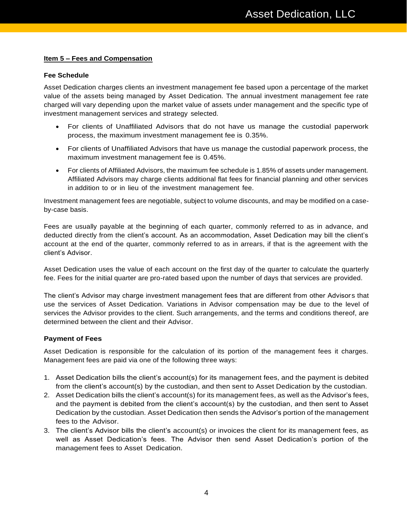#### **Item 5 – Fees and Compensation**

#### **Fee Schedule**

Asset Dedication charges clients an investment management fee based upon a percentage of the market value of the assets being managed by Asset Dedication. The annual investment management fee rate charged will vary depending upon the market value of assets under management and the specific type of investment management services and strategy selected.

- For clients of Unaffiliated Advisors that do not have us manage the custodial paperwork process, the maximum investment management fee is 0.35%.
- For clients of Unaffiliated Advisors that have us manage the custodial paperwork process, the maximum investment management fee is 0.45%.
- For clients of Affiliated Advisors, the maximum fee schedule is 1.85% of assets under management. Affiliated Advisors may charge clients additional flat fees for financial planning and other services in addition to or in lieu of the investment management fee.

Investment management fees are negotiable, subject to volume discounts, and may be modified on a caseby-case basis.

Fees are usually payable at the beginning of each quarter, commonly referred to as in advance, and deducted directly from the client's account. As an accommodation, Asset Dedication may bill the client's account at the end of the quarter, commonly referred to as in arrears, if that is the agreement with the client's Advisor.

Asset Dedication uses the value of each account on the first day of the quarter to calculate the quarterly fee. Fees for the initial quarter are pro-rated based upon the number of days that services are provided.

The client's Advisor may charge investment management fees that are different from other Advisors that use the services of Asset Dedication. Variations in Advisor compensation may be due to the level of services the Advisor provides to the client. Such arrangements, and the terms and conditions thereof, are determined between the client and their Advisor.

#### **Payment of Fees**

Asset Dedication is responsible for the calculation of its portion of the management fees it charges. Management fees are paid via one of the following three ways:

- 1. Asset Dedication bills the client's account(s) for its management fees, and the payment is debited from the client's account(s) by the custodian, and then sent to Asset Dedication by the custodian.
- 2. Asset Dedication bills the client's account(s) for its management fees, as well as the Advisor's fees, and the payment is debited from the client's account(s) by the custodian, and then sent to Asset Dedication by the custodian. Asset Dedication then sends the Advisor's portion of the management fees to the Advisor.
- 3. The client's Advisor bills the client's account(s) or invoices the client for its management fees, as well as Asset Dedication's fees. The Advisor then send Asset Dedication's portion of the management fees to Asset Dedication.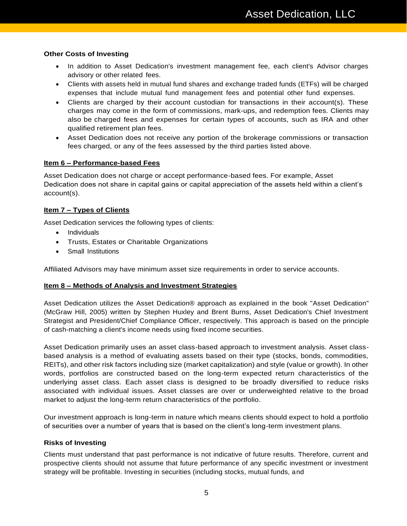## **Other Costs of Investing**

- In addition to Asset Dedication's investment management fee, each client's Advisor charges advisory or other related fees.
- Clients with assets held in mutual fund shares and exchange traded funds (ETFs) will be charged expenses that include mutual fund management fees and potential other fund expenses.
- Clients are charged by their account custodian for transactions in their account(s). These charges may come in the form of commissions, mark-ups, and redemption fees. Clients may also be charged fees and expenses for certain types of accounts, such as IRA and other qualified retirement plan fees.
- Asset Dedication does not receive any portion of the brokerage commissions or transaction fees charged, or any of the fees assessed by the third parties listed above.

## **Item 6 – Performance-based Fees**

Asset Dedication does not charge or accept performance-based fees. For example, Asset Dedication does not share in capital gains or capital appreciation of the assets held within a client's account(s).

## **Item 7 – Types of Clients**

Asset Dedication services the following types of clients:

- Individuals
- Trusts, Estates or Charitable Organizations
- Small Institutions

Affiliated Advisors may have minimum asset size requirements in order to service accounts.

#### **Item 8 – Methods of Analysis and Investment Strategies**

Asset Dedication utilizes the Asset Dedication® approach as explained in the book "Asset Dedication" (McGraw Hill, 2005) written by Stephen Huxley and Brent Burns, Asset Dedication's Chief Investment Strategist and President/Chief Compliance Officer, respectively. This approach is based on the principle of cash-matching a client's income needs using fixed income securities.

Asset Dedication primarily uses an asset class-based approach to investment analysis. Asset classbased analysis is a method of evaluating assets based on their type (stocks, bonds, commodities, REITs), and other risk factors including size (market capitalization) and style (value or growth). In other words, portfolios are constructed based on the long-term expected return characteristics of the underlying asset class. Each asset class is designed to be broadly diversified to reduce risks associated with individual issues. Asset classes are over or underweighted relative to the broad market to adjust the long-term return characteristics of the portfolio.

Our investment approach is long-term in nature which means clients should expect to hold a portfolio of securities over a number of years that is based on the client's long-term investment plans.

#### **Risks of Investing**

Clients must understand that past performance is not indicative of future results. Therefore, current and prospective clients should not assume that future performance of any specific investment or investment strategy will be profitable. Investing in securities (including stocks, mutual funds, and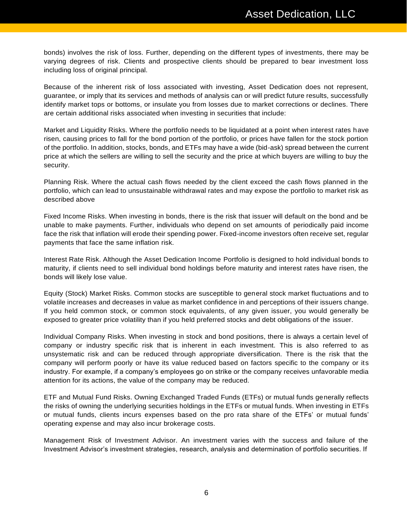bonds) involves the risk of loss. Further, depending on the different types of investments, there may be varying degrees of risk. Clients and prospective clients should be prepared to bear investment loss including loss of original principal.

Because of the inherent risk of loss associated with investing, Asset Dedication does not represent, guarantee, or imply that its services and methods of analysis can or will predict future results, successfully identify market tops or bottoms, or insulate you from losses due to market corrections or declines. There are certain additional risks associated when investing in securities that include:

Market and Liquidity Risks. Where the portfolio needs to be liquidated at a point when interest rates have risen, causing prices to fall for the bond portion of the portfolio, or prices have fallen for the stock portion of the portfolio. In addition, stocks, bonds, and ETFs may have a wide (bid-ask) spread between the current price at which the sellers are willing to sell the security and the price at which buyers are willing to buy the security.

Planning Risk. Where the actual cash flows needed by the client exceed the cash flows planned in the portfolio, which can lead to unsustainable withdrawal rates and may expose the portfolio to market risk as described above

Fixed Income Risks. When investing in bonds, there is the risk that issuer will default on the bond and be unable to make payments. Further, individuals who depend on set amounts of periodically paid income face the risk that inflation will erode their spending power. Fixed-income investors often receive set, regular payments that face the same inflation risk.

Interest Rate Risk. Although the Asset Dedication Income Portfolio is designed to hold individual bonds to maturity, if clients need to sell individual bond holdings before maturity and interest rates have risen, the bonds will likely lose value.

Equity (Stock) Market Risks. Common stocks are susceptible to general stock market fluctuations and to volatile increases and decreases in value as market confidence in and perceptions of their issuers change. If you held common stock, or common stock equivalents, of any given issuer, you would generally be exposed to greater price volatility than if you held preferred stocks and debt obligations of the issuer.

Individual Company Risks. When investing in stock and bond positions, there is always a certain level of company or industry specific risk that is inherent in each investment. This is also referred to as unsystematic risk and can be reduced through appropriate diversification. There is the risk that the company will perform poorly or have its value reduced based on factors specific to the company or its industry. For example, if a company's employees go on strike or the company receives unfavorable media attention for its actions, the value of the company may be reduced.

ETF and Mutual Fund Risks. Owning Exchanged Traded Funds (ETFs) or mutual funds generally reflects the risks of owning the underlying securities holdings in the ETFs or mutual funds. When investing in ETFs or mutual funds, clients incurs expenses based on the pro rata share of the ETFs' or mutual funds' operating expense and may also incur brokerage costs.

Management Risk of Investment Advisor. An investment varies with the success and failure of the Investment Advisor's investment strategies, research, analysis and determination of portfolio securities. If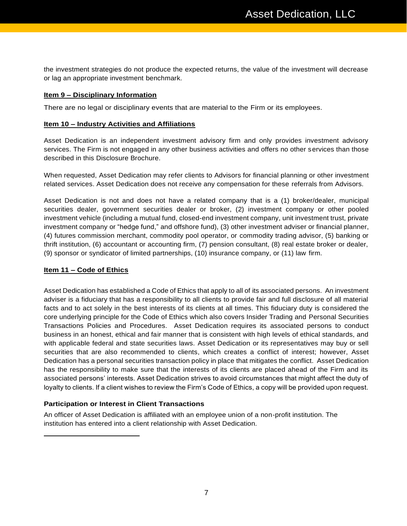the investment strategies do not produce the expected returns, the value of the investment will decrease or lag an appropriate investment benchmark.

#### **Item 9 – Disciplinary Information**

There are no legal or disciplinary events that are material to the Firm or its employees.

#### **Item 10 – Industry Activities and Affiliations**

Asset Dedication is an independent investment advisory firm and only provides investment advisory services. The Firm is not engaged in any other business activities and offers no other services than those described in this Disclosure Brochure.

When requested, Asset Dedication may refer clients to Advisors for financial planning or other investment related services. Asset Dedication does not receive any compensation for these referrals from Advisors.

Asset Dedication is not and does not have a related company that is a (1) broker/dealer, municipal securities dealer, government securities dealer or broker, (2) investment company or other pooled investment vehicle (including a mutual fund, closed-end investment company, unit investment trust, private investment company or "hedge fund," and offshore fund), (3) other investment adviser or financial planner, (4) futures commission merchant, commodity pool operator, or commodity trading advisor, (5) banking or thrift institution, (6) accountant or accounting firm, (7) pension consultant, (8) real estate broker or dealer, (9) sponsor or syndicator of limited partnerships, (10) insurance company, or (11) law firm.

#### **Item 11 – Code of Ethics**

Asset Dedication has established a Code of Ethics that apply to all of its associated persons. An investment adviser is a fiduciary that has a responsibility to all clients to provide fair and full disclosure of all material facts and to act solely in the best interests of its clients at all times. This fiduciary duty is considered the core underlying principle for the Code of Ethics which also covers Insider Trading and Personal Securities Transactions Policies and Procedures. Asset Dedication requires its associated persons to conduct business in an honest, ethical and fair manner that is consistent with high levels of ethical standards, and with applicable federal and state securities laws. Asset Dedication or its representatives may buy or sell securities that are also recommended to clients, which creates a conflict of interest; however, Asset Dedication has a personal securities transaction policy in place that mitigates the conflict. Asset Dedication has the responsibility to make sure that the interests of its clients are placed ahead of the Firm and its associated persons' interests. Asset Dedication strives to avoid circumstances that might affect the duty of loyalty to clients. If a client wishes to review the Firm's Code of Ethics, a copy will be provided upon request.

#### **Participation or Interest in Client Transactions**

An officer of Asset Dedication is affiliated with an employee union of a non-profit institution. The institution has entered into a client relationship with Asset Dedication.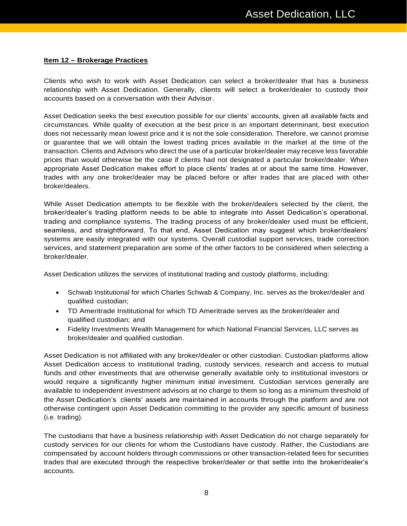#### **Item 12 – Brokerage Practices**

Clients who wish to work with Asset Dedication can select a broker/dealer that has a business relationship with Asset Dedication. Generally, clients will select a broker/dealer to custody their accounts based on a conversation with their Advisor.

Asset Dedication seeks the best execution possible for our clients' accounts, given all available facts and circumstances. While quality of execution at the best price is an important determinant, best execution does not necessarily mean lowest price and it is not the sole consideration. Therefore, we cannot promise or guarantee that we will obtain the lowest trading prices available in the market at the time of the transaction. Clients and Advisors who direct the use of a particular broker/dealer may receive less favorable prices than would otherwise be the case if clients had not designated a particular broker/dealer. When appropriate Asset Dedication makes effort to place clients' trades at or about the same time. However, trades with any one broker/dealer may be placed before or after trades that are placed with other broker/dealers.

While Asset Dedication attempts to be flexible with the broker/dealers selected by the client, the broker/dealer's trading platform needs to be able to integrate into Asset Dedication's operational, trading and compliance systems. The trading process of any broker/dealer used must be efficient, seamless, and straightforward. To that end, Asset Dedication may suggest which broker/dealers' systems are easily integrated with our systems. Overall custodial support services, trade correction services, and statement preparation are some of the other factors to be considered when selecting a broker/dealer.

Asset Dedication utilizes the services of institutional trading and custody platforms, including:

- Schwab Institutional for which Charles Schwab & Company, Inc. serves as the broker/dealer and qualified custodian;
- TD Ameritrade Institutional for which TD Ameritrade serves as the broker/dealer and qualified custodian; and
- Fidelity Investments Wealth Management for which National Financial Services, LLC serves as broker/dealer and qualified custodian.

Asset Dedication is not affiliated with any broker/dealer or other custodian. Custodian platforms allow Asset Dedication access to institutional trading, custody services, research and access to mutual funds and other investments that are otherwise generally available only to institutional investors or would require a significantly higher minimum initial investment. Custodian services generally are available to independent investment advisors at no charge to them so long as a minimum threshold of the Asset Dedication's clients' assets are maintained in accounts through the platform and are not otherwise contingent upon Asset Dedication committing to the provider any specific amount of business (i.e. trading).

The custodians that have a business relationship with Asset Dedication do not charge separately for custody services for our clients for whom the Custodians have custody. Rather, the Custodians are compensated by account holders through commissions or other transaction-related fees for securities trades that are executed through the respective broker/dealer or that settle into the broker/dealer's accounts.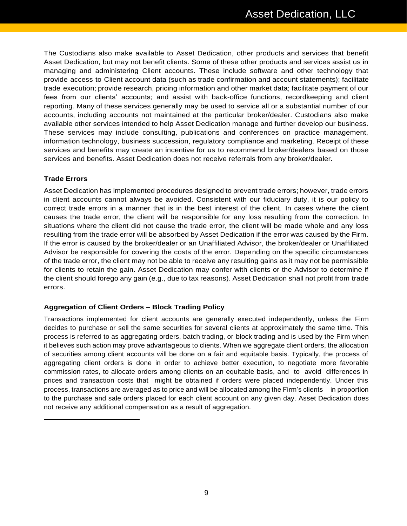The Custodians also make available to Asset Dedication, other products and services that benefit Asset Dedication, but may not benefit clients. Some of these other products and services assist us in managing and administering Client accounts. These include software and other technology that provide access to Client account data (such as trade confirmation and account statements); facilitate trade execution; provide research, pricing information and other market data; facilitate payment of our fees from our clients' accounts; and assist with back-office functions, recordkeeping and client reporting. Many of these services generally may be used to service all or a substantial number of our accounts, including accounts not maintained at the particular broker/dealer. Custodians also make available other services intended to help Asset Dedication manage and further develop our business. These services may include consulting, publications and conferences on practice management, information technology, business succession, regulatory compliance and marketing. Receipt of these services and benefits may create an incentive for us to recommend broker/dealers based on those services and benefits. Asset Dedication does not receive referrals from any broker/dealer.

#### **Trade Errors**

Asset Dedication has implemented procedures designed to prevent trade errors; however, trade errors in client accounts cannot always be avoided. Consistent with our fiduciary duty, it is our policy to correct trade errors in a manner that is in the best interest of the client. In cases where the client causes the trade error, the client will be responsible for any loss resulting from the correction. In situations where the client did not cause the trade error, the client will be made whole and any loss resulting from the trade error will be absorbed by Asset Dedication if the error was caused by the Firm. If the error is caused by the broker/dealer or an Unaffiliated Advisor, the broker/dealer or Unaffiliated Advisor be responsible for covering the costs of the error. Depending on the specific circumstances of the trade error, the client may not be able to receive any resulting gains as it may not be permissible for clients to retain the gain. Asset Dedication may confer with clients or the Advisor to determine if the client should forego any gain (e.g., due to tax reasons). Asset Dedication shall not profit from trade errors.

# **Aggregation of Client Orders – Block Trading Policy**

Transactions implemented for client accounts are generally executed independently, unless the Firm decides to purchase or sell the same securities for several clients at approximately the same time. This process is referred to as aggregating orders, batch trading, or block trading and is used by the Firm when it believes such action may prove advantageous to clients. When we aggregate client orders, the allocation of securities among client accounts will be done on a fair and equitable basis. Typically, the process of aggregating client orders is done in order to achieve better execution, to negotiate more favorable commission rates, to allocate orders among clients on an equitable basis, and to avoid differences in prices and transaction costs that might be obtained if orders were placed independently. Under this process, transactions are averaged as to price and will be allocated among the Firm's clients in proportion to the purchase and sale orders placed for each client account on any given day. Asset Dedication does not receive any additional compensation as a result of aggregation.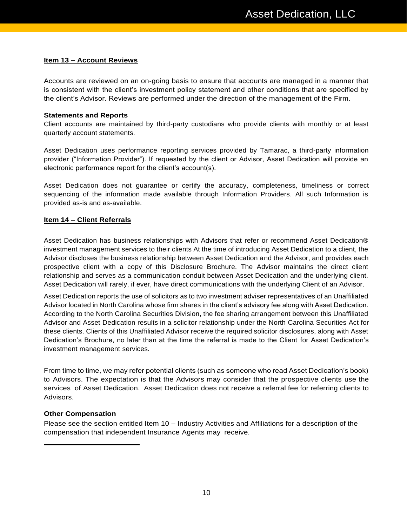#### **Item 13 – Account Reviews**

Accounts are reviewed on an on-going basis to ensure that accounts are managed in a manner that is consistent with the client's investment policy statement and other conditions that are specified by the client's Advisor. Reviews are performed under the direction of the management of the Firm.

#### **Statements and Reports**

Client accounts are maintained by third-party custodians who provide clients with monthly or at least quarterly account statements.

Asset Dedication uses performance reporting services provided by Tamarac, a third-party information provider ("Information Provider"). If requested by the client or Advisor, Asset Dedication will provide an electronic performance report for the client's account(s).

Asset Dedication does not guarantee or certify the accuracy, completeness, timeliness or correct sequencing of the information made available through Information Providers. All such Information is provided as-is and as-available.

#### **Item 14 – Client Referrals**

Asset Dedication has business relationships with Advisors that refer or recommend Asset Dedication® investment management services to their clients At the time of introducing Asset Dedication to a client, the Advisor discloses the business relationship between Asset Dedication and the Advisor, and provides each prospective client with a copy of this Disclosure Brochure. The Advisor maintains the direct client relationship and serves as a communication conduit between Asset Dedication and the underlying client. Asset Dedication will rarely, if ever, have direct communications with the underlying Client of an Advisor.

Asset Dedication reports the use of solicitors as to two investment adviser representatives of an Unaffiliated Advisor located in North Carolina whose firm shares in the client's advisory fee along with Asset Dedication. According to the North Carolina Securities Division, the fee sharing arrangement between this Unaffiliated Advisor and Asset Dedication results in a solicitor relationship under the North Carolina Securities Act for these clients. Clients of this Unaffiliated Advisor receive the required solicitor disclosures, along with Asset Dedication's Brochure, no later than at the time the referral is made to the Client for Asset Dedication's investment management services.

From time to time, we may refer potential clients (such as someone who read Asset Dedication's book) to Advisors. The expectation is that the Advisors may consider that the prospective clients use the services of Asset Dedication. Asset Dedication does not receive a referral fee for referring clients to Advisors.

#### **Other Compensation**

Please see the section entitled Item 10 – Industry Activities and Affiliations for a description of the compensation that independent Insurance Agents may receive.